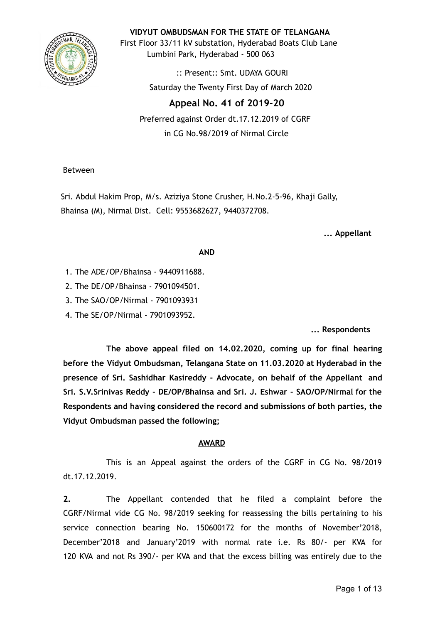

**VIDYUT OMBUDSMAN FOR THE STATE OF TELANGANA**

First Floor 33/11 kV substation, Hyderabad Boats Club Lane Lumbini Park, Hyderabad - 500 063

> :: Present:: Smt. UDAYA GOURI Saturday the Twenty First Day of March 2020

# **Appeal No. 41 of 2019-20**

Preferred against Order dt.17.12.2019 of CGRF in CG No.98/2019 of Nirmal Circle

Between

Sri. Abdul Hakim Prop, M/s. Aziziya Stone Crusher, H.No.2-5-96, Khaji Gally, Bhainsa (M), Nirmal Dist. Cell: 9553682627, 9440372708.

**... Appellant**

## **AND**

- 1. The ADE/OP/Bhainsa 9440911688.
- 2. The DE/OP/Bhainsa 7901094501.
- 3. The SAO/OP/Nirmal 7901093931
- 4. The SE/OP/Nirmal 7901093952.

**... Respondents**

**The above appeal filed on 14.02.2020, coming up for final hearing before the Vidyut Ombudsman, Telangana State on 11.03.2020 at Hyderabad in the presence of Sri. Sashidhar Kasireddy - Advocate, on behalf of the Appellant and Sri. S.V.Srinivas Reddy - DE/OP/Bhainsa and Sri. J. Eshwar - SAO/OP/Nirmal for the Respondents and having considered the record and submissions of both parties, the Vidyut Ombudsman passed the following;**

## **AWARD**

This is an Appeal against the orders of the CGRF in CG No. 98/2019 dt.17.12.2019.

**2.** The Appellant contended that he filed a complaint before the CGRF/Nirmal vide CG No. 98/2019 seeking for reassessing the bills pertaining to his service connection bearing No. 150600172 for the months of November'2018, December'2018 and January'2019 with normal rate i.e. Rs 80/- per KVA for 120 KVA and not Rs 390/- per KVA and that the excess billing was entirely due to the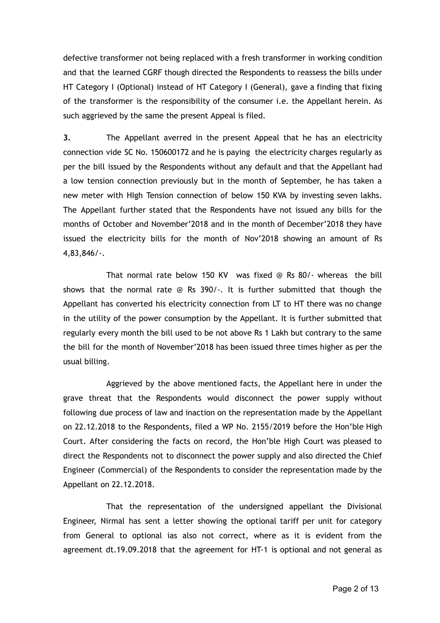defective transformer not being replaced with a fresh transformer in working condition and that the learned CGRF though directed the Respondents to reassess the bills under HT Category I (Optional) instead of HT Category I (General), gave a finding that fixing of the transformer is the responsibility of the consumer i.e. the Appellant herein. As such aggrieved by the same the present Appeal is filed.

**3.** The Appellant averred in the present Appeal that he has an electricity connection vide SC No. 150600172 and he is paying the electricity charges regularly as per the bill issued by the Respondents without any default and that the Appellant had a low tension connection previously but in the month of September, he has taken a new meter with HIgh Tension connection of below 150 KVA by investing seven lakhs. The Appellant further stated that the Respondents have not issued any bills for the months of October and November'2018 and in the month of December'2018 they have issued the electricity bills for the month of Nov'2018 showing an amount of Rs 4,83,846/-.

That normal rate below 150 KV was fixed @ Rs 80/- whereas the bill shows that the normal rate @ Rs 390/-. It is further submitted that though the Appellant has converted his electricity connection from LT to HT there was no change in the utility of the power consumption by the Appellant. It is further submitted that regularly every month the bill used to be not above Rs 1 Lakh but contrary to the same the bill for the month of November'2018 has been issued three times higher as per the usual billing.

Aggrieved by the above mentioned facts, the Appellant here in under the grave threat that the Respondents would disconnect the power supply without following due process of law and inaction on the representation made by the Appellant on 22.12.2018 to the Respondents, filed a WP No. 2155/2019 before the Hon'ble High Court. After considering the facts on record, the Hon'ble High Court was pleased to direct the Respondents not to disconnect the power supply and also directed the Chief Engineer (Commercial) of the Respondents to consider the representation made by the Appellant on 22.12.2018.

That the representation of the undersigned appellant the Divisional Engineer, Nirmal has sent a letter showing the optional tariff per unit for category from General to optional ias also not correct, where as it is evident from the agreement dt.19.09.2018 that the agreement for HT-1 is optional and not general as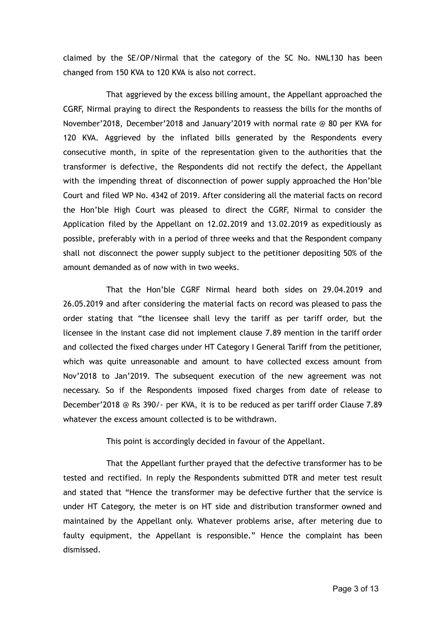claimed by the SE/OP/Nirmal that the category of the SC No. NML130 has been changed from 150 KVA to 120 KVA is also not correct.

That aggrieved by the excess billing amount, the Appellant approached the CGRF, Nirmal praying to direct the Respondents to reassess the bills for the months of November'2018, December'2018 and January'2019 with normal rate @ 80 per KVA for 120 KVA. Aggrieved by the inflated bills generated by the Respondents every consecutive month, in spite of the representation given to the authorities that the transformer is defective, the Respondents did not rectify the defect, the Appellant with the impending threat of disconnection of power supply approached the Hon'ble Court and filed WP No. 4342 of 2019. After considering all the material facts on record the Hon'ble High Court was pleased to direct the CGRF, Nirmal to consider the Application filed by the Appellant on 12.02.2019 and 13.02.2019 as expeditiously as possible, preferably with in a period of three weeks and that the Respondent company shall not disconnect the power supply subject to the petitioner depositing 50% of the amount demanded as of now with in two weeks.

That the Hon'ble CGRF Nirmal heard both sides on 29.04.2019 and 26.05.2019 and after considering the material facts on record was pleased to pass the order stating that "the licensee shall levy the tariff as per tariff order, but the licensee in the instant case did not implement clause 7.89 mention in the tariff order and collected the fixed charges under HT Category I General Tariff from the petitioner, which was quite unreasonable and amount to have collected excess amount from Nov'2018 to Jan'2019. The subsequent execution of the new agreement was not necessary. So if the Respondents imposed fixed charges from date of release to December'2018 @ Rs 390/- per KVA, it is to be reduced as per tariff order Clause 7.89 whatever the excess amount collected is to be withdrawn.

This point is accordingly decided in favour of the Appellant.

That the Appellant further prayed that the defective transformer has to be tested and rectified. In reply the Respondents submitted DTR and meter test result and stated that "Hence the transformer may be defective further that the service is under HT Category, the meter is on HT side and distribution transformer owned and maintained by the Appellant only. Whatever problems arise, after metering due to faulty equipment, the Appellant is responsible." Hence the complaint has been dismissed.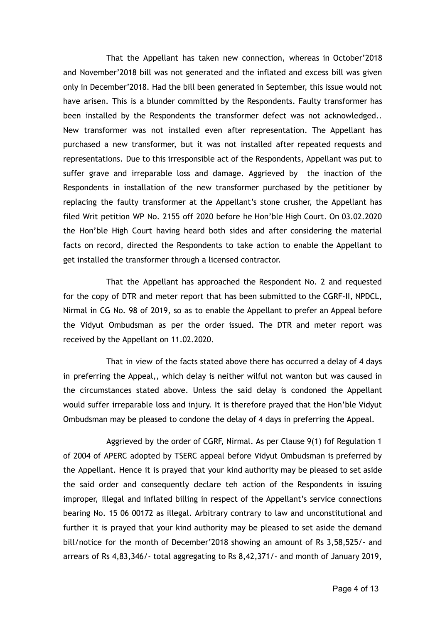That the Appellant has taken new connection, whereas in October'2018 and November'2018 bill was not generated and the inflated and excess bill was given only in December'2018. Had the bill been generated in September, this issue would not have arisen. This is a blunder committed by the Respondents. Faulty transformer has been installed by the Respondents the transformer defect was not acknowledged.. New transformer was not installed even after representation. The Appellant has purchased a new transformer, but it was not installed after repeated requests and representations. Due to this irresponsible act of the Respondents, Appellant was put to suffer grave and irreparable loss and damage. Aggrieved by the inaction of the Respondents in installation of the new transformer purchased by the petitioner by replacing the faulty transformer at the Appellant's stone crusher, the Appellant has filed Writ petition WP No. 2155 off 2020 before he Hon'ble High Court. On 03.02.2020 the Hon'ble High Court having heard both sides and after considering the material facts on record, directed the Respondents to take action to enable the Appellant to get installed the transformer through a licensed contractor.

That the Appellant has approached the Respondent No. 2 and requested for the copy of DTR and meter report that has been submitted to the CGRF-II, NPDCL, Nirmal in CG No. 98 of 2019, so as to enable the Appellant to prefer an Appeal before the Vidyut Ombudsman as per the order issued. The DTR and meter report was received by the Appellant on 11.02.2020.

That in view of the facts stated above there has occurred a delay of 4 days in preferring the Appeal,, which delay is neither wilful not wanton but was caused in the circumstances stated above. Unless the said delay is condoned the Appellant would suffer irreparable loss and injury. It is therefore prayed that the Hon'ble Vidyut Ombudsman may be pleased to condone the delay of 4 days in preferring the Appeal.

Aggrieved by the order of CGRF, Nirmal. As per Clause 9(1) fof Regulation 1 of 2004 of APERC adopted by TSERC appeal before Vidyut Ombudsman is preferred by the Appellant. Hence it is prayed that your kind authority may be pleased to set aside the said order and consequently declare teh action of the Respondents in issuing improper, illegal and inflated billing in respect of the Appellant's service connections bearing No. 15 06 00172 as illegal. Arbitrary contrary to law and unconstitutional and further it is prayed that your kind authority may be pleased to set aside the demand bill/notice for the month of December'2018 showing an amount of Rs 3,58,525/- and arrears of Rs 4,83,346/- total aggregating to Rs 8,42,371/- and month of January 2019,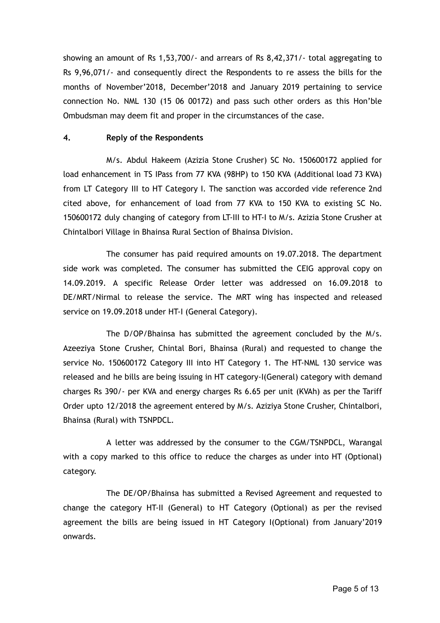showing an amount of Rs 1,53,700/- and arrears of Rs 8,42,371/- total aggregating to Rs 9,96,071/- and consequently direct the Respondents to re assess the bills for the months of November'2018, December'2018 and January 2019 pertaining to service connection No. NML 130 (15 06 00172) and pass such other orders as this Hon'ble Ombudsman may deem fit and proper in the circumstances of the case.

#### **4. Reply of the Respondents**

M/s. Abdul Hakeem (Azizia Stone Crusher) SC No. 150600172 applied for load enhancement in TS IPass from 77 KVA (98HP) to 150 KVA (Additional load 73 KVA) from LT Category III to HT Category I. The sanction was accorded vide reference 2nd cited above, for enhancement of load from 77 KVA to 150 KVA to existing SC No. 150600172 duly changing of category from LT-III to HT-I to M/s. Azizia Stone Crusher at Chintalbori Village in Bhainsa Rural Section of Bhainsa Division.

The consumer has paid required amounts on 19.07.2018. The department side work was completed. The consumer has submitted the CEIG approval copy on 14.09.2019. A specific Release Order letter was addressed on 16.09.2018 to DE/MRT/Nirmal to release the service. The MRT wing has inspected and released service on 19.09.2018 under HT-I (General Category).

The D/OP/Bhainsa has submitted the agreement concluded by the M/s. Azeeziya Stone Crusher, Chintal Bori, Bhainsa (Rural) and requested to change the service No. 150600172 Category III into HT Category 1. The HT-NML 130 service was released and he bills are being issuing in HT category-I(General) category with demand charges Rs 390/- per KVA and energy charges Rs 6.65 per unit (KVAh) as per the Tariff Order upto 12/2018 the agreement entered by M/s. Aziziya Stone Crusher, Chintalbori, Bhainsa (Rural) with TSNPDCL.

A letter was addressed by the consumer to the CGM/TSNPDCL, Warangal with a copy marked to this office to reduce the charges as under into HT (Optional) category.

The DE/OP/Bhainsa has submitted a Revised Agreement and requested to change the category HT-II (General) to HT Category (Optional) as per the revised agreement the bills are being issued in HT Category I(Optional) from January'2019 onwards.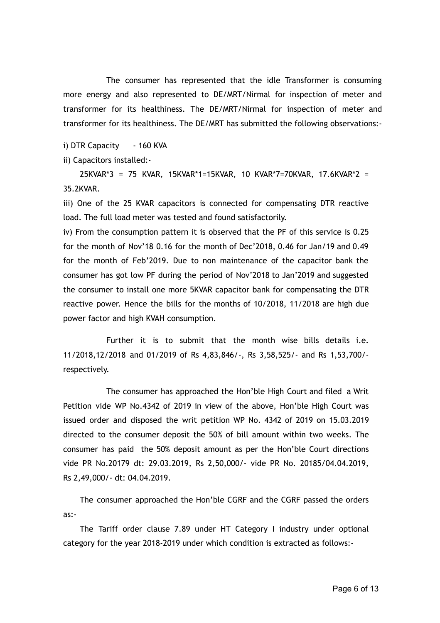The consumer has represented that the idle Transformer is consuming more energy and also represented to DE/MRT/Nirmal for inspection of meter and transformer for its healthiness. The DE/MRT/Nirmal for inspection of meter and transformer for its healthiness. The DE/MRT has submitted the following observations:-

i) DTR Capacity - 160 KVA

ii) Capacitors installed:-

25KVAR\*3 = 75 KVAR, 15KVAR\*1=15KVAR, 10 KVAR\*7=70KVAR, 17.6KVAR\*2 = 35.2KVAR.

iii) One of the 25 KVAR capacitors is connected for compensating DTR reactive load. The full load meter was tested and found satisfactorily.

iv) From the consumption pattern it is observed that the PF of this service is 0.25 for the month of Nov'18 0.16 for the month of Dec'2018, 0.46 for Jan/19 and 0.49 for the month of Feb'2019. Due to non maintenance of the capacitor bank the consumer has got low PF during the period of Nov'2018 to Jan'2019 and suggested the consumer to install one more 5KVAR capacitor bank for compensating the DTR reactive power. Hence the bills for the months of 10/2018, 11/2018 are high due power factor and high KVAH consumption.

Further it is to submit that the month wise bills details i.e. 11/2018,12/2018 and 01/2019 of Rs 4,83,846/-, Rs 3,58,525/- and Rs 1,53,700/ respectively.

The consumer has approached the Hon'ble High Court and filed a Writ Petition vide WP No.4342 of 2019 in view of the above, Hon'ble High Court was issued order and disposed the writ petition WP No. 4342 of 2019 on 15.03.2019 directed to the consumer deposit the 50% of bill amount within two weeks. The consumer has paid the 50% deposit amount as per the Hon'ble Court directions vide PR No.20179 dt: 29.03.2019, Rs 2,50,000/- vide PR No. 20185/04.04.2019, Rs 2,49,000/- dt: 04.04.2019.

The consumer approached the Hon'ble CGRF and the CGRF passed the orders as:-

The Tariff order clause 7.89 under HT Category I industry under optional category for the year 2018-2019 under which condition is extracted as follows:-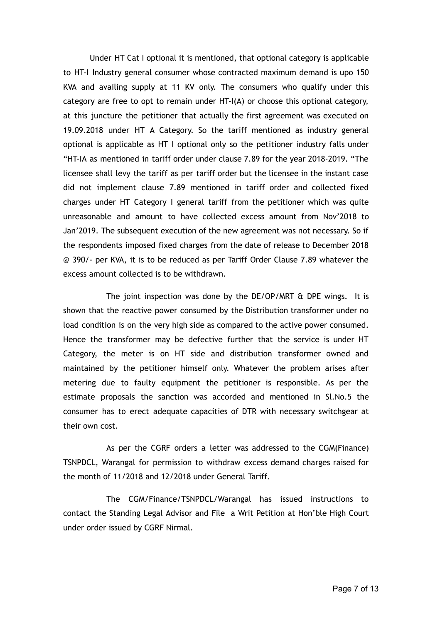Under HT Cat I optional it is mentioned, that optional category is applicable to HT-I Industry general consumer whose contracted maximum demand is upo 150 KVA and availing supply at 11 KV only. The consumers who qualify under this category are free to opt to remain under HT-I(A) or choose this optional category, at this juncture the petitioner that actually the first agreement was executed on 19.09.2018 under HT A Category. So the tariff mentioned as industry general optional is applicable as HT I optional only so the petitioner industry falls under "HT-IA as mentioned in tariff order under clause 7.89 for the year 2018-2019. "The licensee shall levy the tariff as per tariff order but the licensee in the instant case did not implement clause 7.89 mentioned in tariff order and collected fixed charges under HT Category I general tariff from the petitioner which was quite unreasonable and amount to have collected excess amount from Nov'2018 to Jan'2019. The subsequent execution of the new agreement was not necessary. So if the respondents imposed fixed charges from the date of release to December 2018 @ 390/- per KVA, it is to be reduced as per Tariff Order Clause 7.89 whatever the excess amount collected is to be withdrawn.

The joint inspection was done by the DE/OP/MRT & DPE wings. It is shown that the reactive power consumed by the Distribution transformer under no load condition is on the very high side as compared to the active power consumed. Hence the transformer may be defective further that the service is under HT Category, the meter is on HT side and distribution transformer owned and maintained by the petitioner himself only. Whatever the problem arises after metering due to faulty equipment the petitioner is responsible. As per the estimate proposals the sanction was accorded and mentioned in Sl.No.5 the consumer has to erect adequate capacities of DTR with necessary switchgear at their own cost.

As per the CGRF orders a letter was addressed to the CGM(Finance) TSNPDCL, Warangal for permission to withdraw excess demand charges raised for the month of 11/2018 and 12/2018 under General Tariff.

The CGM/Finance/TSNPDCL/Warangal has issued instructions to contact the Standing Legal Advisor and File a Writ Petition at Hon'ble High Court under order issued by CGRF Nirmal.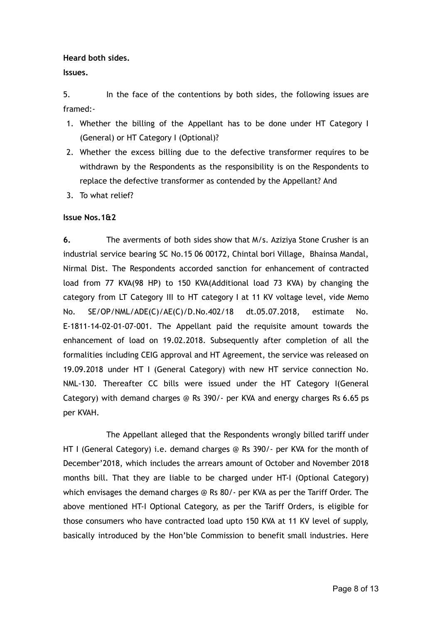**Heard both sides.**

**Issues.**

5. In the face of the contentions by both sides, the following issues are framed:-

- 1. Whether the billing of the Appellant has to be done under HT Category I (General) or HT Category I (Optional)?
- 2. Whether the excess billing due to the defective transformer requires to be withdrawn by the Respondents as the responsibility is on the Respondents to replace the defective transformer as contended by the Appellant? And
- 3. To what relief?

### **Issue Nos.1&2**

**6.** The averments of both sides show that M/s. Aziziya Stone Crusher is an industrial service bearing SC No.15 06 00172, Chintal bori Village, Bhainsa Mandal, Nirmal Dist. The Respondents accorded sanction for enhancement of contracted load from 77 KVA(98 HP) to 150 KVA(Additional load 73 KVA) by changing the category from LT Category III to HT category I at 11 KV voltage level, vide Memo No. SE/OP/NML/ADE(C)/AE(C)/D.No.402/18 dt.05.07.2018, estimate No. E-1811-14-02-01-07-001. The Appellant paid the requisite amount towards the enhancement of load on 19.02.2018. Subsequently after completion of all the formalities including CEIG approval and HT Agreement, the service was released on 19.09.2018 under HT I (General Category) with new HT service connection No. NML-130. Thereafter CC bills were issued under the HT Category I(General Category) with demand charges @ Rs 390/- per KVA and energy charges Rs 6.65 ps per KVAH.

The Appellant alleged that the Respondents wrongly billed tariff under HT I (General Category) i.e. demand charges @ Rs 390/- per KVA for the month of December'2018, which includes the arrears amount of October and November 2018 months bill. That they are liable to be charged under HT-I (Optional Category) which envisages the demand charges @ Rs 80/- per KVA as per the Tariff Order. The above mentioned HT-I Optional Category, as per the Tariff Orders, is eligible for those consumers who have contracted load upto 150 KVA at 11 KV level of supply, basically introduced by the Hon'ble Commission to benefit small industries. Here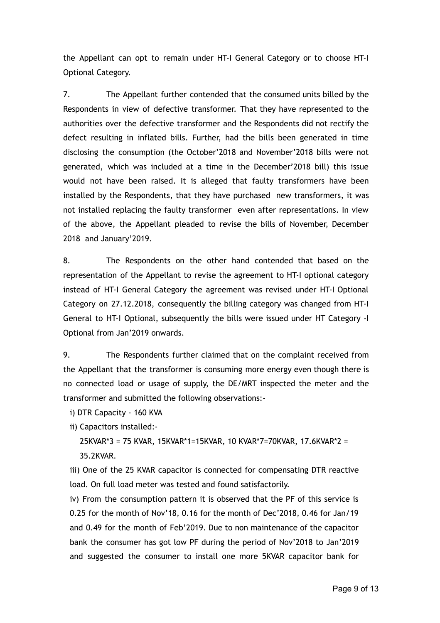the Appellant can opt to remain under HT-I General Category or to choose HT-I Optional Category.

7. The Appellant further contended that the consumed units billed by the Respondents in view of defective transformer. That they have represented to the authorities over the defective transformer and the Respondents did not rectify the defect resulting in inflated bills. Further, had the bills been generated in time disclosing the consumption (the October'2018 and November'2018 bills were not generated, which was included at a time in the December'2018 bill) this issue would not have been raised. It is alleged that faulty transformers have been installed by the Respondents, that they have purchased new transformers, it was not installed replacing the faulty transformer even after representations. In view of the above, the Appellant pleaded to revise the bills of November, December 2018 and January'2019.

8. The Respondents on the other hand contended that based on the representation of the Appellant to revise the agreement to HT-I optional category instead of HT-I General Category the agreement was revised under HT-I Optional Category on 27.12.2018, consequently the billing category was changed from HT-I General to HT-I Optional, subsequently the bills were issued under HT Category -I Optional from Jan'2019 onwards.

9. The Respondents further claimed that on the complaint received from the Appellant that the transformer is consuming more energy even though there is no connected load or usage of supply, the DE/MRT inspected the meter and the transformer and submitted the following observations:-

i) DTR Capacity - 160 KVA

ii) Capacitors installed:-

25KVAR\*3 = 75 KVAR, 15KVAR\*1=15KVAR, 10 KVAR\*7=70KVAR, 17.6KVAR\*2 = 35.2KVAR.

iii) One of the 25 KVAR capacitor is connected for compensating DTR reactive load. On full load meter was tested and found satisfactorily.

iv) From the consumption pattern it is observed that the PF of this service is 0.25 for the month of Nov'18, 0.16 for the month of Dec'2018, 0.46 for Jan/19 and 0.49 for the month of Feb'2019. Due to non maintenance of the capacitor bank the consumer has got low PF during the period of Nov'2018 to Jan'2019 and suggested the consumer to install one more 5KVAR capacitor bank for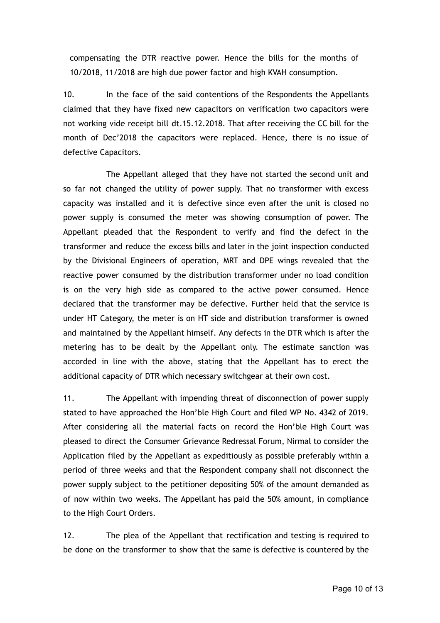compensating the DTR reactive power. Hence the bills for the months of 10/2018, 11/2018 are high due power factor and high KVAH consumption.

10. In the face of the said contentions of the Respondents the Appellants claimed that they have fixed new capacitors on verification two capacitors were not working vide receipt bill dt.15.12.2018. That after receiving the CC bill for the month of Dec'2018 the capacitors were replaced. Hence, there is no issue of defective Capacitors.

The Appellant alleged that they have not started the second unit and so far not changed the utility of power supply. That no transformer with excess capacity was installed and it is defective since even after the unit is closed no power supply is consumed the meter was showing consumption of power. The Appellant pleaded that the Respondent to verify and find the defect in the transformer and reduce the excess bills and later in the joint inspection conducted by the Divisional Engineers of operation, MRT and DPE wings revealed that the reactive power consumed by the distribution transformer under no load condition is on the very high side as compared to the active power consumed. Hence declared that the transformer may be defective. Further held that the service is under HT Category, the meter is on HT side and distribution transformer is owned and maintained by the Appellant himself. Any defects in the DTR which is after the metering has to be dealt by the Appellant only. The estimate sanction was accorded in line with the above, stating that the Appellant has to erect the additional capacity of DTR which necessary switchgear at their own cost.

11. The Appellant with impending threat of disconnection of power supply stated to have approached the Hon'ble High Court and filed WP No. 4342 of 2019. After considering all the material facts on record the Hon'ble High Court was pleased to direct the Consumer Grievance Redressal Forum, Nirmal to consider the Application filed by the Appellant as expeditiously as possible preferably within a period of three weeks and that the Respondent company shall not disconnect the power supply subject to the petitioner depositing 50% of the amount demanded as of now within two weeks. The Appellant has paid the 50% amount, in compliance to the High Court Orders.

12. The plea of the Appellant that rectification and testing is required to be done on the transformer to show that the same is defective is countered by the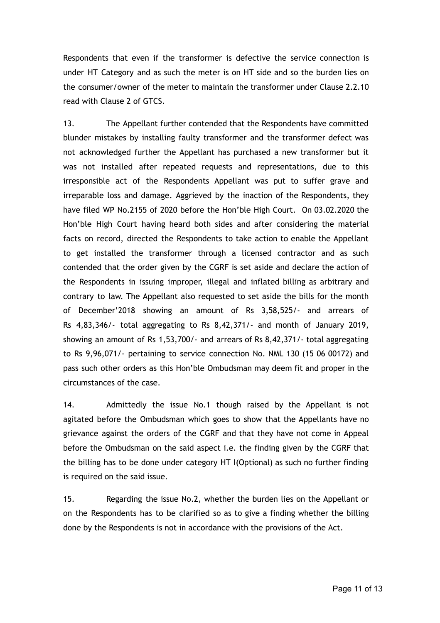Respondents that even if the transformer is defective the service connection is under HT Category and as such the meter is on HT side and so the burden lies on the consumer/owner of the meter to maintain the transformer under Clause 2.2.10 read with Clause 2 of GTCS.

13. The Appellant further contended that the Respondents have committed blunder mistakes by installing faulty transformer and the transformer defect was not acknowledged further the Appellant has purchased a new transformer but it was not installed after repeated requests and representations, due to this irresponsible act of the Respondents Appellant was put to suffer grave and irreparable loss and damage. Aggrieved by the inaction of the Respondents, they have filed WP No.2155 of 2020 before the Hon'ble High Court. On 03.02.2020 the Hon'ble High Court having heard both sides and after considering the material facts on record, directed the Respondents to take action to enable the Appellant to get installed the transformer through a licensed contractor and as such contended that the order given by the CGRF is set aside and declare the action of the Respondents in issuing improper, illegal and inflated billing as arbitrary and contrary to law. The Appellant also requested to set aside the bills for the month of December'2018 showing an amount of Rs 3,58,525/- and arrears of Rs 4,83,346/- total aggregating to Rs 8,42,371/- and month of January 2019, showing an amount of Rs 1,53,700/- and arrears of Rs 8,42,371/- total aggregating to Rs 9,96,071/- pertaining to service connection No. NML 130 (15 06 00172) and pass such other orders as this Hon'ble Ombudsman may deem fit and proper in the circumstances of the case.

14. Admittedly the issue No.1 though raised by the Appellant is not agitated before the Ombudsman which goes to show that the Appellants have no grievance against the orders of the CGRF and that they have not come in Appeal before the Ombudsman on the said aspect i.e. the finding given by the CGRF that the billing has to be done under category HT I(Optional) as such no further finding is required on the said issue.

15. Regarding the issue No.2, whether the burden lies on the Appellant or on the Respondents has to be clarified so as to give a finding whether the billing done by the Respondents is not in accordance with the provisions of the Act.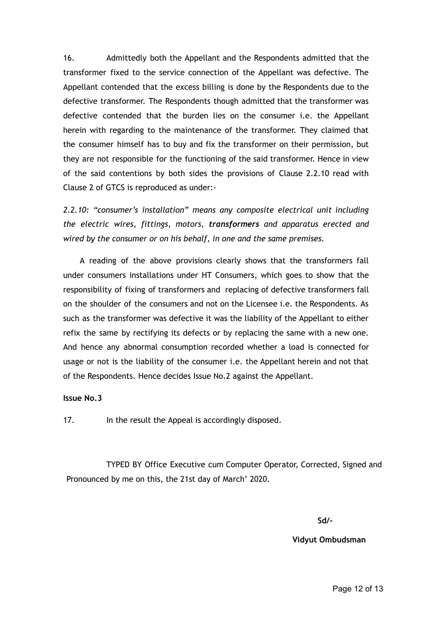16. Admittedly both the Appellant and the Respondents admitted that the transformer fixed to the service connection of the Appellant was defective. The Appellant contended that the excess billing is done by the Respondents due to the defective transformer. The Respondents though admitted that the transformer was defective contended that the burden lies on the consumer i.e. the Appellant herein with regarding to the maintenance of the transformer. They claimed that the consumer himself has to buy and fix the transformer on their permission, but they are not responsible for the functioning of the said transformer. Hence in view of the said contentions by both sides the provisions of Clause 2.2.10 read with Clause 2 of GTCS is reproduced as under:-

*2.2.10: "consumer's installation" means any composite electrical unit including the electric wires, fittings, motors, transformers and apparatus erected and wired by the consumer or on his behalf, in one and the same premises.*

A reading of the above provisions clearly shows that the transformers fall under consumers installations under HT Consumers, which goes to show that the responsibility of fixing of transformers and replacing of defective transformers fall on the shoulder of the consumers and not on the Licensee i.e. the Respondents. As such as the transformer was defective it was the liability of the Appellant to either refix the same by rectifying its defects or by replacing the same with a new one. And hence any abnormal consumption recorded whether a load is connected for usage or not is the liability of the consumer i.e. the Appellant herein and not that of the Respondents. Hence decides Issue No.2 against the Appellant.

#### **Issue No.3**

17. In the result the Appeal is accordingly disposed.

TYPED BY Office Executive cum Computer Operator, Corrected, Signed and Pronounced by me on this, the 21st day of March' 2020.

**Sd/-**

**Vidyut Ombudsman**